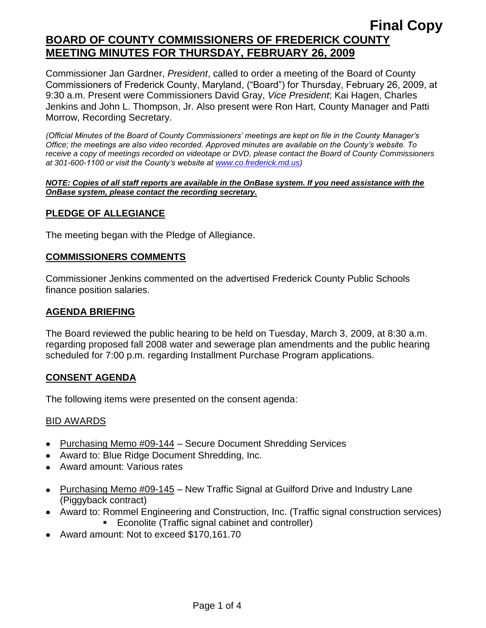Commissioner Jan Gardner, *President*, called to order a meeting of the Board of County Commissioners of Frederick County, Maryland, ("Board") for Thursday, February 26, 2009, at 9:30 a.m. Present were Commissioners David Gray, *Vice President*; Kai Hagen, Charles Jenkins and John L. Thompson, Jr. Also present were Ron Hart, County Manager and Patti Morrow, Recording Secretary.

*(Official Minutes of the Board of County Commissioners' meetings are kept on file in the County Manager's Office; the meetings are also video recorded. Approved minutes are available on the County's website. To receive a copy of meetings recorded on videotape or DVD, please contact the Board of County Commissioners at 301-600-1100 or visit the County's website at [www.co.frederick.md.us\)](http://www.co.frederick.md.us/)*

#### *NOTE: Copies of all staff reports are available in the OnBase system. If you need assistance with the OnBase system, please contact the recording secretary.*

# **PLEDGE OF ALLEGIANCE**

The meeting began with the Pledge of Allegiance.

#### **COMMISSIONERS COMMENTS**

Commissioner Jenkins commented on the advertised Frederick County Public Schools finance position salaries.

#### **AGENDA BRIEFING**

The Board reviewed the public hearing to be held on Tuesday, March 3, 2009, at 8:30 a.m. regarding proposed fall 2008 water and sewerage plan amendments and the public hearing scheduled for 7:00 p.m. regarding Installment Purchase Program applications.

#### **CONSENT AGENDA**

The following items were presented on the consent agenda:

#### BID AWARDS

- Purchasing Memo #09-144 Secure Document Shredding Services
- Award to: Blue Ridge Document Shredding, Inc.
- Award amount: Various rates
- Purchasing Memo #09-145 New Traffic Signal at Guilford Drive and Industry Lane (Piggyback contract)
- Award to: Rommel Engineering and Construction, Inc. (Traffic signal construction services) Econolite (Traffic signal cabinet and controller)
- Award amount: Not to exceed \$170,161.70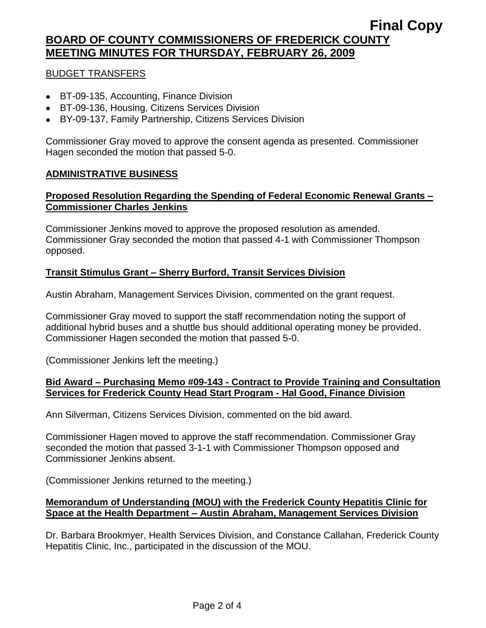#### BUDGET TRANSFERS

- BT-09-135, Accounting, Finance Division
- BT-09-136, Housing, Citizens Services Division
- BY-09-137, Family Partnership, Citizens Services Division

Commissioner Gray moved to approve the consent agenda as presented. Commissioner Hagen seconded the motion that passed 5-0.

#### **ADMINISTRATIVE BUSINESS**

### **Proposed Resolution Regarding the Spending of Federal Economic Renewal Grants – Commissioner Charles Jenkins**

Commissioner Jenkins moved to approve the proposed resolution as amended. Commissioner Gray seconded the motion that passed 4-1 with Commissioner Thompson opposed.

#### **Transit Stimulus Grant – Sherry Burford, Transit Services Division**

Austin Abraham, Management Services Division, commented on the grant request.

Commissioner Gray moved to support the staff recommendation noting the support of additional hybrid buses and a shuttle bus should additional operating money be provided. Commissioner Hagen seconded the motion that passed 5-0.

(Commissioner Jenkins left the meeting.)

#### **Bid Award – Purchasing Memo #09-143 - Contract to Provide Training and Consultation Services for Frederick County Head Start Program - Hal Good, Finance Division**

Ann Silverman, Citizens Services Division, commented on the bid award.

Commissioner Hagen moved to approve the staff recommendation. Commissioner Gray seconded the motion that passed 3-1-1 with Commissioner Thompson opposed and Commissioner Jenkins absent.

(Commissioner Jenkins returned to the meeting.)

### **Memorandum of Understanding (MOU) with the Frederick County Hepatitis Clinic for Space at the Health Department – Austin Abraham, Management Services Division**

Dr. Barbara Brookmyer, Health Services Division, and Constance Callahan, Frederick County Hepatitis Clinic, Inc., participated in the discussion of the MOU.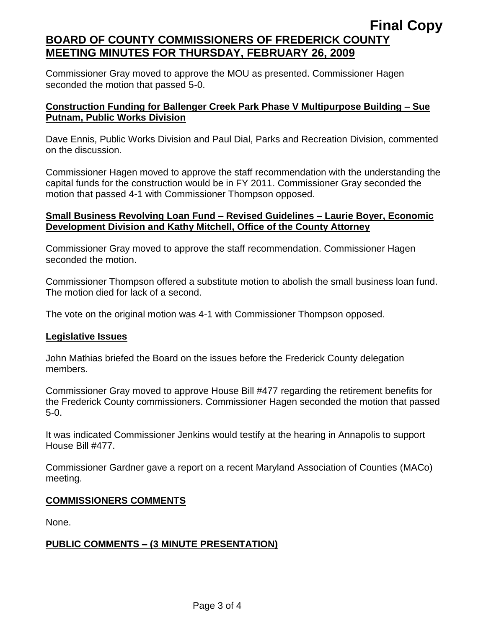Commissioner Gray moved to approve the MOU as presented. Commissioner Hagen seconded the motion that passed 5-0.

### **Construction Funding for Ballenger Creek Park Phase V Multipurpose Building – Sue Putnam, Public Works Division**

Dave Ennis, Public Works Division and Paul Dial, Parks and Recreation Division, commented on the discussion.

Commissioner Hagen moved to approve the staff recommendation with the understanding the capital funds for the construction would be in FY 2011. Commissioner Gray seconded the motion that passed 4-1 with Commissioner Thompson opposed.

### **Small Business Revolving Loan Fund – Revised Guidelines – Laurie Boyer, Economic Development Division and Kathy Mitchell, Office of the County Attorney**

Commissioner Gray moved to approve the staff recommendation. Commissioner Hagen seconded the motion.

Commissioner Thompson offered a substitute motion to abolish the small business loan fund. The motion died for lack of a second.

The vote on the original motion was 4-1 with Commissioner Thompson opposed.

#### **Legislative Issues**

John Mathias briefed the Board on the issues before the Frederick County delegation members.

Commissioner Gray moved to approve House Bill #477 regarding the retirement benefits for the Frederick County commissioners. Commissioner Hagen seconded the motion that passed 5-0.

It was indicated Commissioner Jenkins would testify at the hearing in Annapolis to support House Bill #477.

Commissioner Gardner gave a report on a recent Maryland Association of Counties (MACo) meeting.

# **COMMISSIONERS COMMENTS**

None.

# **PUBLIC COMMENTS – (3 MINUTE PRESENTATION)**